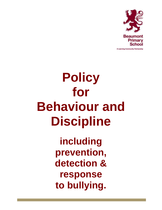

A Learning Community Partnership

# **Policy for Behaviour and Discipline including prevention, detection & response to bullying.**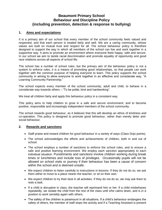# **Beaumont Primary School Behaviour and Discipline Policy (including prevention, detection & response to bullying)**

# **1. Aims and expectations**

It is a primary aim of our school that every member of the school community feels valued and respected, and that each person is treated fairly and well. We are a caring community, whose values are built on mutual trust and respect for all. The school behaviour policy is therefore designed to support the way in which all members of the school can live and work together in a supportive way. It aims to promote an environment where everyone feels happy, safe and secure. In our school we aim to tackle racial discrimination and promote equality of opportunity and good race relations across all aspects of school life.

The school has a number of school rules, but the primary aim of the behaviour policy is not a system to enforce rules, it is a means of promoting good relationships, so that people can work together with the common purpose of helping everyone to learn. This policy supports the school community in aiming to allow everyone to work together in an effective and considerate way. "A Learning Community Partnership."

The school expects every member of the school community, adult and child, to behave in a considerate way towards others – "To be polite, kind and hardworking".

We treat all children fairly and apply this behaviour policy in a consistent way.

This policy aims to help children to grow in a safe and secure environment, and to become positive, responsible and increasingly independent members of the school community.

The school rewards good behaviour, as it believes that this will develop an ethos of kindness and co-operation. This policy is designed to promote good behaviour, rather than merely deter antisocial behaviour.

# **2. Rewards and sanctions**

- Staff praise and reward children for good behaviour in a variety of ways (Class Dojo points).
- The school acknowledges the efforts and achievements of children, both in and out of school.
- The school employs a number of sanctions to enforce the school rules, and to ensure a safe and positive learning environment. We employ each sanction appropriately to each individual situation. Punishments and sanctions involve children working during break times or lunchtimes and include loss of privileges. Occasionally pupils will not be allowed on school visits or journey if their behaviour has been a cause of concern within the school and is deemed unsafe.
- We expect children to listen carefully to instructions in lessons. If they do not do so, we ask them either to move to a place nearer the teacher, or sit on their own.
- We expect children to try their best in all activities. If they do not do so, we may ask them to redo a task.
- If a child is disruptive in class, the teacher will reprimand him or her. If a child misbehaves repeatedly, we isolate the child from the rest of the class until s/he calms down, and is in a position to work sensibly again with others.
- The safety of the children is paramount in all situations. If a child's behaviour endangers the safety of others, the member of staff stops the activity and if a Teaching Assistant is present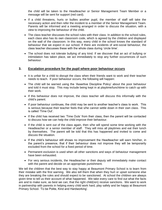the child will be taken to the Headteacher or Senior Management Team Member or a message will be sent for support (red card).

- If a child threatens, hurts or bullies another pupil, the member of staff will take the necessary action and then refer the incident to a member of the Senior Management Team. Parents will be informed and a meeting arranged in order to discuss the situation, with a view to improving the behaviour of the child.
- The class teacher discusses the school rules with their class. In addition to the school rules, each class also has its own classroom code, which is agreed by the children and displayed on the wall of the classroom. In this way, every child in the school knows the standard of behaviour that we expect in our school. If there are incidents of anti-social behaviour, the class teacher discusses these with the whole class during 'circle time'.
- The school does not tolerate bullying of any kind. If we discover that an act of bullying or intimidation has taken place, we act immediately to stop any further occurrences of such behaviour.

# **3. Escalation procedure for the pupil where poor behaviour occurs**

- It is unfair for a child to disrupt the class when their friends want to work and their teacher needs to teach. If poor behaviour occurs, the following will happen:
- The child will be warned using the 'Assertive Discipline Policy' about the poor behaviour and told it must stop. This may include being kept in at playtime/lunchtime to catch up with their work.
- If this behaviour does not improve, the class teacher will discuss this informally with the child's parent.
- If poor behaviour continues, the child may be sent to another teacher's class to work. This is serious because their teacher feels that s/he cannot settle down in their own class. This is called 'Time Out'.
- If the child has received two 'Time Outs' from their class, then the parent will be contacted to discuss how we can help the child improve their behaviour.
- If the child is sent out of the class again, then s/he will spend some time working with the Headteacher or a senior member of staff. They will miss all playtimes and eat their lunch by themselves. The parent will be told that this has happened and invited to come and discuss the situation.
- If the child's behaviour still shows no improvement the Headteacher will warn him/her, in the parent's presence, that if their behaviour does not improve they will be temporarily excluded from the school for a fixed period of time.
- Permanent exclusion is used when all other sanctions and ways of behaviour management have been exhausted.
- For very serious incidents, the Headteacher or their deputy will immediately make contact with the parent and decide on an appropriate punishment.

We tell the children that the best way to stay happy at Beaumont Primary School is to learn from their mistake with the first warning. We also tell them that when they hurt or upset someone else they are breaking the rules and should expect to be sanctioned. At school the children are always given time to tell us their account of what happened. We take every care to find out what the facts are and to make sure, as best we can, that the right child(ren) receive sanctions. We want to work in partnership with parents in helping every child work hard, play safely and be happy at Beaumont Primary School. 'To be Polite, Kind and Hardworking'.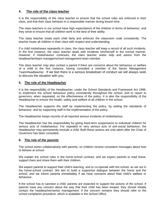# **4. The role of the class teacher**

It is the responsibility of the class teacher to ensure that the school rules are enforced in their class, and that their class behaves in a responsible manner during lesson time.

The class teachers in our school have high expectations of the children in terms of behaviour, and they strive to ensure that all children work to the best of their ability.

The class teacher treats each child fairly and enforces the classroom code consistently. The teacher treats all children in their class with respect and understanding.

If a child misbehaves repeatedly in class, the class teacher will keep a record of all such incidents. In the first instance, the class teacher deals with incidents him/herself in the normal manner. However, if misbehaviour continues, the class teacher seeks help and advice from the headteacher/team manager/school management team member.

The class teacher may also contact a parent if there are concerns about the behaviour or welfare of a child in the first instance, having consulted a member of the Senior Management Team/Headteacher. If we feel there is a serious breakdown of conduct we will always seek to discuss the situation with you.

# **5. The role of the Headteacher**

It is the responsibility of the Headteacher, under the School Standards and Framework Act 1998, to implement the school behaviour policy consistently throughout the school, and to report to governors, when requested, on the effectiveness of the policy. It is also the responsibility of the Headteacher to ensure the health, safety and welfare of all children in the school.

The Headteacher supports the staff by implementing the policy, by setting the standards of behaviour, and by supporting staff in the implementation of the policy.

The Headteacher keeps records of all reported serious incidents of misbehaviour.

The Headteacher has the responsibility for giving fixed-term suspensions to individual children for serious acts of misbehaviour. For repeated or very serious acts of anti-social behaviour, the Headteacher may permanently exclude a child. Both these actions are only taken after the Chair of Governors has been consulted.

## **6. The role of the parents**

The school works collaboratively with parents, so children receive consistent messages about how to behave at school.

We explain the school rules in the home-school contract, and we expect parents to read these, support them and share them with their children.

We expect parents to support their child's learning, and to co-operate with the school, as set out in the home-school contract. We aim to build a supportive dialogue between the home and the school, and we inform parents immediately if we have concerns about their child's welfare or behaviour.

If the school has to sanction a child, parents are expected to support the actions of the school. If parents have any concern about the way that their child has been treated, they should initially contact the headteacher/senior management. If the concern remains they should refer to the school complaints procedure, which is available in the School Office.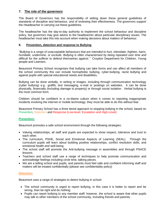# **7. The role of the governors**

The Board of Governors has the responsibility of setting down these general guidelines of standards of discipline and behaviour, and of reviewing their effectiveness. The governors support the Headteacher in carrying out these guidelines.

The headteacher has the day-to-day authority to implement the school behaviour and discipline policy, but governors may give advice to the headteacher about particular disciplinary issues. The headteacher must take this into account when making decisions about matters of behaviour.

# **8. Prevention, detection and response to Bullying**

*"Bullying is a range of unacceptable behaviours that are intended to hurt, intimidate, frighten, harm, humiliate, undermine, or exclude. Bullying is often characterised by being repeated over time and difficult for the sufferer to defend themselves against."* Croydon Department for Children, Young people and Learners.

Beaumont Primary School recognises that bullying can take forms and can affect all members of the school community this can include homophobic bullying, cyber-bullying, racist bullying and against pupils with special educational needs and disabilities.

Bullying can be done verbally, in writing or images, including through communication technology (cyber bullying) e.g.: graffiti, text messaging, e-mail or postings on websites. It can be done physically, financially (including damage to property) or through social isolation. Verbal bullying is the most common form.

Children should be confident in a no-blame culture when it comes to reporting inappropriate incidents involving the internet or mobile technology; they must be able to do this without fear.

Beaumont Primary School has a three tiered approach to stopping bullying in the school, based on Prevention, Detection and Response (Low-level, Escalation and High-Level)

# **Prevention:**

Beaumont promotes a safe school environment through the following strategies:

- Valuing relationships, all staff and pupils are expected to show respect, tolerance and trust to each other.
- The curriculum, PSHE, Social and Emotional Aspects of Learning (SEAL). Through the curriculum pupils will learn about building positive relationships, conflict resolution skills, and emotional health and well-being.
- The school staff will promote the Anti-bullying message in assemblies and through PSHCE lessons.
- Teachers and school staff use a range of techniques to help promote communication and acknowledge feelings including circle time, talking pieces.
- We are a telling school and pupils, and parents must feel safe and confident informing staff and matters will be treated confidentially (please see confidentiality policy)

# **Detection:**

Beaumont uses a range of strategies to detect bullying in school:

- The school community is urged to report bullying, in this case it is better to report and be wrong, than be right and do nothing.
- Pupils can report bullying to any member staff; however, the school is aware that other pupils may talk to other members of the school community, including friends and parents.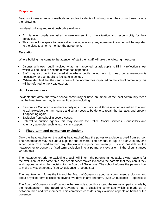# **Response:**

Beaumont uses a range of methods to resolve incidents of bullying when they occur these include the following:

Low-level bullying and relationship-break-downs

- At this level, pupils are asked to take ownership of the situation and responsibility for their behaviour.
- This can include space to have a discussion, where-by any agreement reached will be reported to the class teacher to monitor the agreement.

# **Escalation:**

Where bullying has come to the attention of staff then staff will take the following measures:

- Discuss with each pupil involved what has happened, or ask pupils to fill in a reflection sheet which will be used to ascertain what has happened
- Staff may also do indirect mediation where pupils do not wish to meet, but a resolution is necessary for both pupils to feel safe in school.
- Where staff feel that the seriousness of the incident has impacted on the school community this will be referred to the Headteacher.

# **High Level response:**

Incidents that affect the whole school community or have an impact of the local community mean that the Headteacher may take specific action including:

- Restorative Conference where a bullying incident occurs all those affected are asked to attend to acknowledge the harm cause and what needs to be done to repair the damage, and prevent it happening again.
- Exclusion from school in severe cases.
- Referral to outside agency this may include the Police, Social Services, Counsellors and voluntary agencies such as e.g. victim support.

# **9. Fixed-term and permanent exclusions**

Only the headteacher (or the acting headteacher) has the power to exclude a pupil from school. The headteacher may exclude a pupil for one or more fixed periods, for up to 45 days in any one school year. The headteacher may also exclude a pupil permanently. It is also possible for the headteacher to convert a fixed-term exclusion into a permanent exclusion, if the circumstances warrant this.

The headteacher, prior to excluding a pupil, will inform the parents immediately, giving reasons for the exclusion. At the same time, the headteacher makes it clear to the parents that they can, if they wish, appeal against the decision to the Board of Governors. The school informs the parents how to make any such appeal. (See LA guidance - Appendix 1)

The headteacher informs the LA and the Board of Governors about any permanent exclusion, and about any fixed-term exclusions beyond five days in any one term. (See LA guidance - Appendix 1)

The Board of Governors itself cannot either exclude a pupil or extend the exclusion period made by the headteacher. The Board of Governors has a discipline committee which is made up of between three and five members. This committee considers any exclusion appeals on behalf of the governors.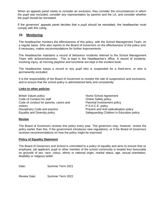When an appeals panel meets to consider an exclusion, they consider the circumstances in which the pupil was excluded, consider any representation by parents and the LA, and consider whether the pupil should be reinstated.

If the governors' appeals panel decides that a pupil should be reinstated, the headteacher must comply with this ruling.

# **10. Monitoring**

The headteacher monitors the effectiveness of this policy, with the School Management Team, on a regular basis. S/he also reports to the Board of Governors on the effectiveness of the policy and, if necessary, makes recommendations for further improvements.

The Headteacher maintains a record of behaviour incidents referred to the School Management Team with actions/outcomes. This is kept in the Headteacher's office. A record of incidents, involving injury, at morning playtime and lunchtime are kept in the incident book.

The headteacher keeps a record or any pupil who is suspended for a fixed-term, or who is permanently excluded.

It is the responsibility of the Board of Governors to monitor the rate of suspensions and exclusions, and to ensure that the school policy is administered fairly and consistently.

#### **Links to other policies**

British Values policy Code of Conduct for staff Code of conduct for parents, carers and visitors Disciplinary Code and practice Equality and Diversity policy

Home School Agreement Online Safety policy Parental Involvement policy P.S.H.C.E. policy Prevent and Anti-radicalisation policy Safeguarding Children in Education policy

## **Review**

The Board of Governors reviews this policy every year. The governors may, however, review the policy earlier than this, if the government introduces new regulations, or if the Board of Governors receives recommendations on how the policy might be improved.

#### **Policy of Equality Statement**

The Board of Governors and School is committed to a policy of equality and aims to ensure that no employee, job applicant, pupil or other member of the school community is treated less favourably on grounds of sex, race, colour, ethnic or national origin, marital status, age, sexual orientation, disability or religious belief.

Date: Summer Term 2021

Review Date: Summer Term 2022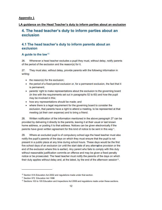#### **Appendix 1**

#### LA guidance on the Head Teacher's duty to inform parties about an exclusion

# 4. The head teacher's duty to inform parties about an exclusion

# 4.1 The head teacher's duty to inform parents about an exclusion

#### A quide to the law<sup>10</sup>

26. Whenever a head teacher excludes a pupil they must, without delay, notify parents of the period of the exclusion and the reason(s) for it.

27. They must also, without delay, provide parents with the following information in writing:

- the reason(s) for the exclusion;
- the period of a fixed-period exclusion or, for a permanent exclusion, the fact that it is permanent;
- parents' right to make representations about the exclusion to the governing board (in line with the requirements set out in paragraphs 52 to 60) and how the pupil may be involved in this:
- how any representations should be made; and
- where there is a legal requirement for the governing board to consider the exclusion, that parents have a right to attend a meeting, to be represented at that meeting (at their own expense) and to bring a friend.

28. Written notification of the information mentioned in the above paragraph 27 can be provided by delivering it directly to the parents, leaving it at their usual or last known home address, or posting it to that address. Notices can be given electronically if the parents have given written agreement for this kind of notice to be sent in this way<sup>11</sup>.

29. Where an excluded pupil is of compulsory school age the head teacher must also notify the pupil's parents of the days on which they must ensure that the pupil is not present in a public place at any time during school hours. These days would be the first five school days of an exclusion (or until the start date of any alternative provision or the end of the exclusion where this is earlier). Any parent who fails to comply with this duty without reasonable justification commits an offence and may be given a fixed penalty notice or be prosecuted. The head teacher must notify the parents of the days on which their duty applies without delay and, at the latest, by the end of the afternoon session<sup>12</sup>.

<sup>&</sup>lt;sup>10</sup> Section 51A Education Act 2002 and regulations made under that section.

<sup>&</sup>lt;sup>11</sup> Section 572 Education Act 1996

<sup>&</sup>lt;sup>12</sup> Sections 103 to 105 Education and Inspections Act 2006 and regulations made under these sections.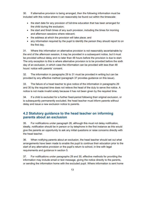30. If alternative provision is being arranged, then the following information must be included with this notice where it can reasonably be found out within the timescale:

- . the start date for any provision of full-time education that has been arranged for the child during the exclusion:
- the start and finish times of any such provision, including the times for morning and afternoon sessions where relevant:
- the address at which the provision will take place; and
- any information required by the pupil to identify the person they should report to on the first day.

31. Where this information on alternative provision is not reasonably ascertainable by the end of the afternoon session, it may be provided in a subsequent notice, but it must be provided without delay and no later than 48 hours before the provision is due to start. The only exception to this is where alternative provision is to be provided before the sixth day of an exclusion, in which case the information can be provided with less than 48 hours' notice with parents' consent.

The information in paragraphs 29 to 31 must be provided in writing but can be 32. provided by any effective method (paragraph 37 provides guidance on this issue).

33. The failure of a head teacher to give notice of the information in paragraphs 29 and 30 by the required time does not relieve the head of the duty to serve the notice. A notice is not made invalid solely because it has not been given by the required time.

34. If a child is excluded for a further fixed-period following their original exclusion, or is subsequently permanently excluded, the head teacher must inform parents without delay and issue a new exclusion notice to parents.

# 4.2 Statutory guidance to the head teacher on informing parents about an exclusion

35. For notifications under paragraph 26, although this must not delay notification. ideally, notification should be in person or by telephone in the first instance as this would give the parents an opportunity to ask any initial questions or raise concerns directly with the head teacher.

36. When notifying parents about an exclusion, the head teacher should set out what arrangements have been made to enable the pupil to continue their education prior to the start of any alternative provision or the pupil's return to school, in line with legal requirements and guidance in section 5.

For notifications under paragraphs 29 and 30, effective methods for providing the 37. information may include email or text message, giving the notice directly to the parents, or sending the information home with the excluded pupil. Where information is sent home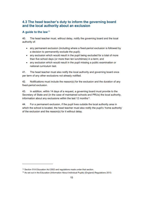# 4.3 The head teacher's duty to inform the governing board and the local authority about an exclusion

#### A quide to the law<sup>13</sup>

The head teacher must, without delay, notify the governing board and the local 40. authority of:

- any permanent exclusion (including where a fixed-period exclusion is followed by a decision to permanently exclude the pupil);
- . any exclusion which would result in the pupil being excluded for a total of more than five school days (or more than ten lunchtimes) in a term; and
- any exclusion which would result in the pupil missing a public examination or national curriculum test.

 $41.$ The head teacher must also notify the local authority and governing board once per term of any other exclusions not already notified.

 $42.$ Notifications must include the reason(s) for the exclusion and the duration of any fixed-period exclusion.

In addition, within 14 days of a request, a governing board must provide to the 43. Secretary of State and (in the case of maintained schools and PRUs) the local authority, information about any exclusions within the last 12 months<sup>14</sup>.

 $44.$ For a permanent exclusion, if the pupil lives outside the local authority area in which the school is located, the head teacher must also notify the pupil's 'home authority' of the exclusion and the reason(s) for it without delay.

<sup>&</sup>lt;sup>13</sup> Section 51A Education Act 2002 and regulations made under that section.

<sup>&</sup>lt;sup>14</sup> As set out in the Education (Information About Individual Pupils) (England) Regulations 2013.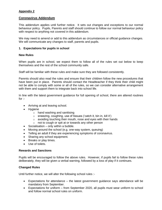# **Appendix 2**

# **Coronavirus Addendum**

This addendum applies until further notice. It sets out changes and exceptions to our normal behaviour policy. Pupils, Parents and staff should continue to follow our normal behaviour policy with respect to anything not covered in this addendum.

We may need to amend or add to this addendum as circumstances or official guidance changes. We will communicate any changes to staff, parents and pupils.

## **1. Expectations for pupils in school**

#### **New Rules**

When pupils are in school, we expect them to follow all of the rules set out below to keep themselves and the rest of the school community safe.

Staff will be familiar with these rules and make sure they are followed consistently.

Parents should also read the rules and ensure that their children follow the new procedures that have been put in place. Parents should contact the Headteacher if they think their child might not be able to comply with some or all of the rules, so we can consider alternative arrangement with them and support them to integrate back into school life.

In line with the latest government guidance for full opening of school, there are altered routines for  $\cdot$ 

- Arriving at and leaving school.
- Hygiene
	- o hand washing and sanitising
	- $\circ$  sneezing, coughing, use of tissues ('catch it, bin in, kill it')
	- o avoiding touching their mouth, nose and eyes with their hands
	- o not to cough or spit at or towards any other person
- Socialisation only within a bubble.
- Moving around the school (e.g. one-way system, queuing)
- Telling an adult if they are experiencing symptoms of coronavirus.
- Sharing any school equipment.
- Breaks or play times.
- Use of toilets.

#### **Rewards and Sanctions**

Pupils will be encouraged to follow the above rules. However, if pupils fail to follow these rules deliberately, they will be given a verbal warning, followed by a loss of play if it continues.

## **Changed Rules**

Until further notice, we will alter the following school rules :-

- Expectations for attendance the latest government guidance says attendance will be mandatory from September.
- Expectations for uniform from September 2020, all pupils must wear uniform to school and follow normal school rules on uniform.